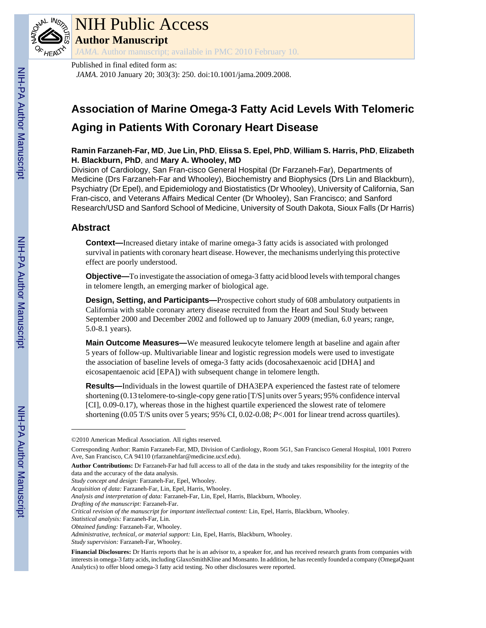

# NIH Public Access

**Author Manuscript**

*JAMA*. Author manuscript; available in PMC 2010 February 10.

Published in final edited form as: *JAMA*. 2010 January 20; 303(3): 250. doi:10.1001/jama.2009.2008.

# **Association of Marine Omega-3 Fatty Acid Levels With Telomeric Aging in Patients With Coronary Heart Disease**

# **Ramin Farzaneh-Far, MD**, **Jue Lin, PhD**, **Elissa S. Epel, PhD**, **William S. Harris, PhD**, **Elizabeth H. Blackburn, PhD**, and **Mary A. Whooley, MD**

Division of Cardiology, San Fran-cisco General Hospital (Dr Farzaneh-Far), Departments of Medicine (Drs Farzaneh-Far and Whooley), Biochemistry and Biophysics (Drs Lin and Blackburn), Psychiatry (Dr Epel), and Epidemiology and Biostatistics (Dr Whooley), University of California, San Fran-cisco, and Veterans Affairs Medical Center (Dr Whooley), San Francisco; and Sanford Research/USD and Sanford School of Medicine, University of South Dakota, Sioux Falls (Dr Harris)

# **Abstract**

**Context—**Increased dietary intake of marine omega-3 fatty acids is associated with prolonged survival in patients with coronary heart disease. However, the mechanisms underlying this protective effect are poorly understood.

**Objective—**To investigate the association of omega-3 fatty acid blood levels with temporal changes in telomere length, an emerging marker of biological age.

**Design, Setting, and Participants—**Prospective cohort study of 608 ambulatory outpatients in California with stable coronary artery disease recruited from the Heart and Soul Study between September 2000 and December 2002 and followed up to January 2009 (median, 6.0 years; range, 5.0-8.1 years).

**Main Outcome Measures—**We measured leukocyte telomere length at baseline and again after 5 years of follow-up. Multivariable linear and logistic regression models were used to investigate the association of baseline levels of omega-3 fatty acids (docosahexaenoic acid [DHA] and eicosapentaenoic acid [EPA]) with subsequent change in telomere length.

**Results—**Individuals in the lowest quartile of DHA3EPA experienced the fastest rate of telomere shortening (0.13 telomere-to-single-copy gene ratio [T/S] units over 5 years; 95% confidence interval [CI], 0.09-0.17), whereas those in the highest quartile experienced the slowest rate of telomere shortening (0.05 T/S units over 5 years; 95% CI, 0.02-0.08; *P*<.001 for linear trend across quartiles).

*Statistical analysis:* Farzaneh-Far, Lin.

<sup>©2010</sup> American Medical Association. All rights reserved.

Corresponding Author: Ramin Farzaneh-Far, MD, Division of Cardiology, Room 5G1, San Francisco General Hospital, 1001 Potrero Ave, San Francisco, CA 94110 (rfarzanehfar@medicine.ucsf.edu).

**Author Contributions:** Dr Farzaneh-Far had full access to all of the data in the study and takes responsibility for the integrity of the data and the accuracy of the data analysis.

*Study concept and design:* Farzaneh-Far, Epel, Whooley.

*Acquisition of data:* Farzaneh-Far, Lin, Epel, Harris, Whooley.

*Analysis and interpretation of data:* Farzaneh-Far, Lin, Epel, Harris, Blackburn, Whooley.

*Drafting of the manuscript:* Farzaneh-Far.

*Critical revision of the manuscript for important intellectual content:* Lin, Epel, Harris, Blackburn, Whooley.

*Obtained funding:* Farzaneh-Far, Whooley.

*Administrative, technical, or material support:* Lin, Epel, Harris, Blackburn, Whooley.

*Study supervision:* Farzaneh-Far, Whooley.

**Financial Disclosures:** Dr Harris reports that he is an advisor to, a speaker for, and has received research grants from companies with interests in omega-3 fatty acids, including GlaxoSmithKline and Monsanto. In addition, he has recently founded a company (OmegaQuant Analytics) to offer blood omega-3 fatty acid testing. No other disclosures were reported.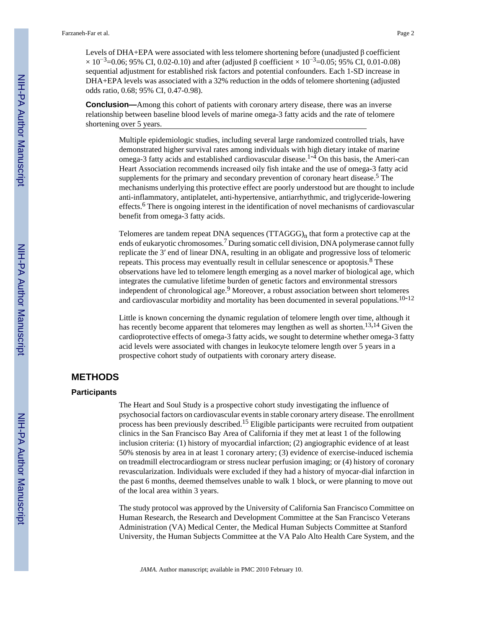Levels of DHA+EPA were associated with less telomere shortening before (unadjusted β coefficient  $\times$  10<sup>-3</sup>=0.06; 95% CI, 0.02-0.10) and after (adjusted β coefficient  $\times$  10<sup>-3</sup>=0.05; 95% CI, 0.01-0.08) sequential adjustment for established risk factors and potential confounders. Each 1-SD increase in DHA+EPA levels was associated with a 32% reduction in the odds of telomere shortening (adjusted odds ratio, 0.68; 95% CI, 0.47-0.98).

**Conclusion—**Among this cohort of patients with coronary artery disease, there was an inverse relationship between baseline blood levels of marine omega-3 fatty acids and the rate of telomere shortening over 5 years.

> Multiple epidemiologic studies, including several large randomized controlled trials, have demonstrated higher survival rates among individuals with high dietary intake of marine omega-3 fatty acids and established cardiovascular disease.<sup>1-4</sup> On this basis, the Ameri-can Heart Association recommends increased oily fish intake and the use of omega-3 fatty acid supplements for the primary and secondary prevention of coronary heart disease.<sup>5</sup> The mechanisms underlying this protective effect are poorly understood but are thought to include anti-inflammatory, antiplatelet, anti-hypertensive, antiarrhythmic, and triglyceride-lowering effects.<sup>6</sup> There is ongoing interest in the identification of novel mechanisms of cardiovascular benefit from omega-3 fatty acids.

> Telomeres are tandem repeat DNA sequences  $(TTAGGG)_n$  that form a protective cap at the ends of eukaryotic chromosomes.<sup>7</sup> During somatic cell division, DNA polymerase cannot fully replicate the 3′ end of linear DNA, resulting in an obligate and progressive loss of telomeric repeats. This process may eventually result in cellular senescence or apoptosis.<sup>8</sup> These observations have led to telomere length emerging as a novel marker of biological age, which integrates the cumulative lifetime burden of genetic factors and environmental stressors independent of chronological age.<sup>9</sup> Moreover, a robust association between short telomeres and cardiovascular morbidity and mortality has been documented in several populations.<sup>10-12</sup>

> Little is known concerning the dynamic regulation of telomere length over time, although it has recently become apparent that telomeres may lengthen as well as shorten.<sup>13,14</sup> Given the cardioprotective effects of omega-3 fatty acids, we sought to determine whether omega-3 fatty acid levels were associated with changes in leukocyte telomere length over 5 years in a prospective cohort study of outpatients with coronary artery disease.

# **METHODS**

#### **Participants**

The Heart and Soul Study is a prospective cohort study investigating the influence of psychosocial factors on cardiovascular events in stable coronary artery disease. The enrollment process has been previously described.15 Eligible participants were recruited from outpatient clinics in the San Francisco Bay Area of California if they met at least 1 of the following inclusion criteria: (1) history of myocardial infarction; (2) angiographic evidence of at least 50% stenosis by area in at least 1 coronary artery; (3) evidence of exercise-induced ischemia on treadmill electrocardiogram or stress nuclear perfusion imaging; or (4) history of coronary revascularization. Individuals were excluded if they had a history of myocar-dial infarction in the past 6 months, deemed themselves unable to walk 1 block, or were planning to move out of the local area within 3 years.

The study protocol was approved by the University of California San Francisco Committee on Human Research, the Research and Development Committee at the San Francisco Veterans Administration (VA) Medical Center, the Medical Human Subjects Committee at Stanford University, the Human Subjects Committee at the VA Palo Alto Health Care System, and the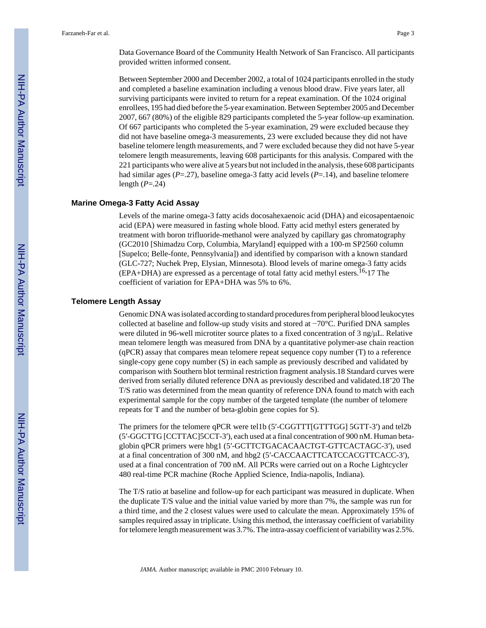Data Governance Board of the Community Health Network of San Francisco. All participants provided written informed consent.

Between September 2000 and December 2002, a total of 1024 participants enrolled in the study and completed a baseline examination including a venous blood draw. Five years later, all surviving participants were invited to return for a repeat examination. Of the 1024 original enrollees, 195 had died before the 5-year examination. Between September 2005 and December 2007, 667 (80%) of the eligible 829 participants completed the 5-year follow-up examination. Of 667 participants who completed the 5-year examination, 29 were excluded because they did not have baseline omega-3 measurements, 23 were excluded because they did not have baseline telomere length measurements, and 7 were excluded because they did not have 5-year telomere length measurements, leaving 608 participants for this analysis. Compared with the 221 participants who were alive at 5 years but not included in the analysis, these 608 participants had similar ages (*P*=.27), baseline omega-3 fatty acid levels (*P*=.14), and baseline telomere length (*P*=.24)

#### **Marine Omega-3 Fatty Acid Assay**

Levels of the marine omega-3 fatty acids docosahexaenoic acid (DHA) and eicosapentaenoic acid (EPA) were measured in fasting whole blood. Fatty acid methyl esters generated by treatment with boron trifluoride-methanol were analyzed by capillary gas chromatography (GC2010 [Shimadzu Corp, Columbia, Maryland] equipped with a 100-m SP2560 column [Supelco; Belle-fonte, Pennsylvania]) and identified by comparison with a known standard (GLC-727; Nuchek Prep, Elysian, Minnesota). Blood levels of marine omega-3 fatty acids (EPA+DHA) are expressed as a percentage of total fatty acid methyl esters.<sup>16,</sup>17 The coefficient of variation for EPA+DHA was 5% to 6%.

#### **Telomere Length Assay**

Genomic DNA was isolated according to standard procedures from peripheral blood leukocytes collected at baseline and follow-up study visits and stored at −70°C. Purified DNA samples were diluted in 96-well microtiter source plates to a fixed concentration of 3 ng/μL. Relative mean telomere length was measured from DNA by a quantitative polymer-ase chain reaction (qPCR) assay that compares mean telomere repeat sequence copy number (T) to a reference single-copy gene copy number (S) in each sample as previously described and validated by comparison with Southern blot terminal restriction fragment analysis.18 Standard curves were derived from serially diluted reference DNA as previously described and validated.18-20 The T/S ratio was determined from the mean quantity of reference DNA found to match with each experimental sample for the copy number of the targeted template (the number of telomere repeats for T and the number of beta-globin gene copies for S).

The primers for the telomere qPCR were tel1b (5′-CGGTTT[GTTTGG] 5GTT-3′) and tel2b (5′-GGCTTG [CCTTAC]5CCT-3′), each used at a final concentration of 900 nM. Human betaglobin qPCR primers were hbg1 (5′-GCTTCTGACACAACTGT-GTTCACTAGC-3′), used at a final concentration of 300 nM, and hbg2 (5′-CACCAACTTCATCCACGTTCACC-3′), used at a final concentration of 700 nM. All PCRs were carried out on a Roche Lightcycler 480 real-time PCR machine (Roche Applied Science, India-napolis, Indiana).

The T/S ratio at baseline and follow-up for each participant was measured in duplicate. When the duplicate T/S value and the initial value varied by more than 7%, the sample was run for a third time, and the 2 closest values were used to calculate the mean. Approximately 15% of samples required assay in triplicate. Using this method, the interassay coefficient of variability for telomere length measurement was 3.7%. The intra-assay coefficient of variability was 2.5%.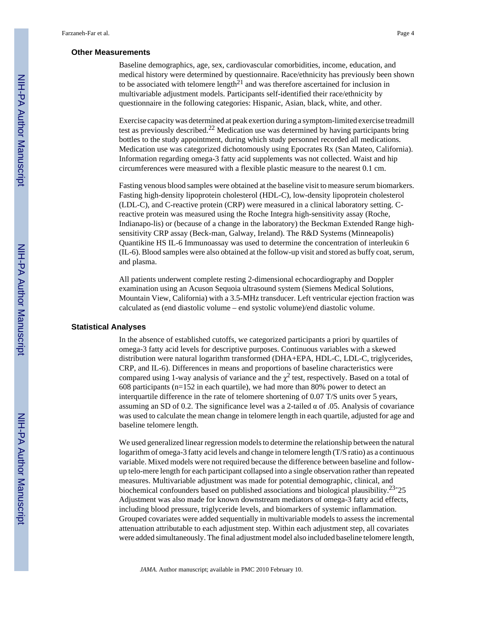#### **Other Measurements**

Baseline demographics, age, sex, cardiovascular comorbidities, income, education, and medical history were determined by questionnaire. Race/ethnicity has previously been shown to be associated with telomere length<sup>21</sup> and was therefore ascertained for inclusion in multivariable adjustment models. Participants self-identified their race/ethnicity by questionnaire in the following categories: Hispanic, Asian, black, white, and other.

Exercise capacity was determined at peak exertion during a symptom-limited exercise treadmill test as previously described.22 Medication use was determined by having participants bring bottles to the study appointment, during which study personnel recorded all medications. Medication use was categorized dichotomously using Epocrates Rx (San Mateo, California). Information regarding omega-3 fatty acid supplements was not collected. Waist and hip circumferences were measured with a flexible plastic measure to the nearest 0.1 cm.

Fasting venous blood samples were obtained at the baseline visit to measure serum biomarkers. Fasting high-density lipoprotein cholesterol (HDL-C), low-density lipoprotein cholesterol (LDL-C), and C-reactive protein (CRP) were measured in a clinical laboratory setting. Creactive protein was measured using the Roche Integra high-sensitivity assay (Roche, Indianapo-lis) or (because of a change in the laboratory) the Beckman Extended Range highsensitivity CRP assay (Beck-man, Galway, Ireland). The R&D Systems (Minneapolis) Quantikine HS IL-6 Immunoassay was used to determine the concentration of interleukin 6 (IL-6). Blood samples were also obtained at the follow-up visit and stored as buffy coat, serum, and plasma.

All patients underwent complete resting 2-dimensional echocardiography and Doppler examination using an Acuson Sequoia ultrasound system (Siemens Medical Solutions, Mountain View, California) with a 3.5-MHz transducer. Left ventricular ejection fraction was calculated as (end diastolic volume – end systolic volume)/end diastolic volume.

#### **Statistical Analyses**

In the absence of established cutoffs, we categorized participants a priori by quartiles of omega-3 fatty acid levels for descriptive purposes. Continuous variables with a skewed distribution were natural logarithm transformed (DHA+EPA, HDL-C, LDL-C, triglycerides, CRP, and IL-6). Differences in means and proportions of baseline characteristics were compared using 1-way analysis of variance and the  $\chi^2$  test, respectively. Based on a total of 608 participants ( $n=152$  in each quartile), we had more than 80% power to detect an interquartile difference in the rate of telomere shortening of 0.07 T/S units over 5 years, assuming an SD of 0.2. The significance level was a 2-tailed  $\alpha$  of .05. Analysis of covariance was used to calculate the mean change in telomere length in each quartile, adjusted for age and baseline telomere length.

We used generalized linear regression models to determine the relationship between the natural logarithm of omega-3 fatty acid levels and change in telomere length (T/S ratio) as a continuous variable. Mixed models were not required because the difference between baseline and followup telo-mere length for each participant collapsed into a single observation rather than repeated measures. Multivariable adjustment was made for potential demographic, clinical, and biochemical confounders based on published associations and biological plausibility.<sup>23</sup>-25 Adjustment was also made for known downstream mediators of omega-3 fatty acid effects, including blood pressure, triglyceride levels, and biomarkers of systemic inflammation. Grouped covariates were added sequentially in multivariable models to assess the incremental attenuation attributable to each adjustment step. Within each adjustment step, all covariates were added simultaneously. The final adjustment model also included baseline telomere length,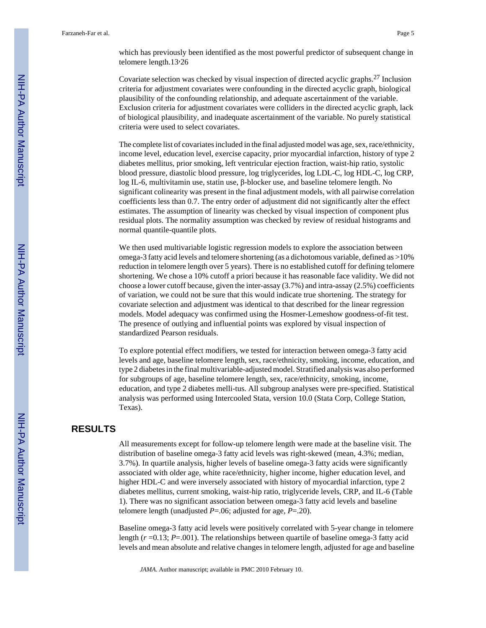which has previously been identified as the most powerful predictor of subsequent change in telomere length.13,26

Covariate selection was checked by visual inspection of directed acyclic graphs.27 Inclusion criteria for adjustment covariates were confounding in the directed acyclic graph, biological plausibility of the confounding relationship, and adequate ascertainment of the variable. Exclusion criteria for adjustment covariates were colliders in the directed acyclic graph, lack of biological plausibility, and inadequate ascertainment of the variable. No purely statistical criteria were used to select covariates.

The complete list of covariates included in the final adjusted model was age, sex, race/ethnicity, income level, education level, exercise capacity, prior myocardial infarction, history of type 2 diabetes mellitus, prior smoking, left ventricular ejection fraction, waist-hip ratio, systolic blood pressure, diastolic blood pressure, log triglycerides, log LDL-C, log HDL-C, log CRP, log IL-6, multivitamin use, statin use, β-blocker use, and baseline telomere length. No significant colinearity was present in the final adjustment models, with all pairwise correlation coefficients less than 0.7. The entry order of adjustment did not significantly alter the effect estimates. The assumption of linearity was checked by visual inspection of component plus residual plots. The normality assumption was checked by review of residual histograms and normal quantile-quantile plots.

We then used multivariable logistic regression models to explore the association between omega-3 fatty acid levels and telomere shortening (as a dichotomous variable, defined as >10% reduction in telomere length over 5 years). There is no established cutoff for defining telomere shortening. We chose a 10% cutoff a priori because it has reasonable face validity. We did not choose a lower cutoff because, given the inter-assay (3.7%) and intra-assay (2.5%) coefficients of variation, we could not be sure that this would indicate true shortening. The strategy for covariate selection and adjustment was identical to that described for the linear regression models. Model adequacy was confirmed using the Hosmer-Lemeshow goodness-of-fit test. The presence of outlying and influential points was explored by visual inspection of standardized Pearson residuals.

To explore potential effect modifiers, we tested for interaction between omega-3 fatty acid levels and age, baseline telomere length, sex, race/ethnicity, smoking, income, education, and type 2 diabetes in the final multivariable-adjusted model. Stratified analysis was also performed for subgroups of age, baseline telomere length, sex, race/ethnicity, smoking, income, education, and type 2 diabetes melli-tus. All subgroup analyses were pre-specified. Statistical analysis was performed using Intercooled Stata, version 10.0 (Stata Corp, College Station, Texas).

# **RESULTS**

All measurements except for follow-up telomere length were made at the baseline visit. The distribution of baseline omega-3 fatty acid levels was right-skewed (mean, 4.3%; median, 3.7%). In quartile analysis, higher levels of baseline omega-3 fatty acids were significantly associated with older age, white race/ethnicity, higher income, higher education level, and higher HDL-C and were inversely associated with history of myocardial infarction, type 2 diabetes mellitus, current smoking, waist-hip ratio, triglyceride levels, CRP, and IL-6 (Table 1). There was no significant association between omega-3 fatty acid levels and baseline telomere length (unadjusted *P*=.06; adjusted for age, *P*=.20).

Baseline omega-3 fatty acid levels were positively correlated with 5-year change in telomere length  $(r=0.13; P=.001)$ . The relationships between quartile of baseline omega-3 fatty acid levels and mean absolute and relative changes in telomere length, adjusted for age and baseline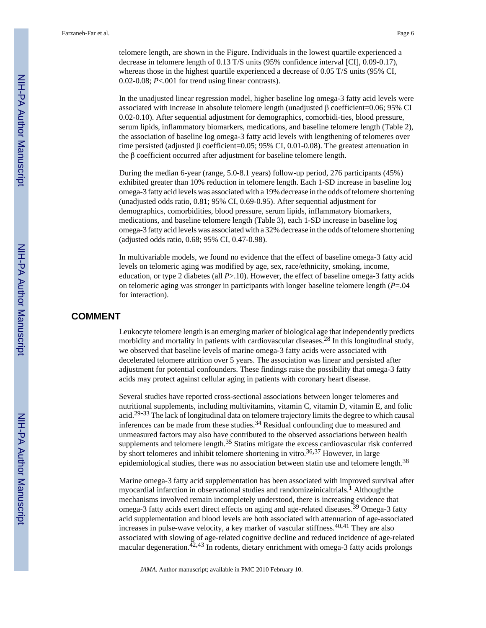telomere length, are shown in the Figure. Individuals in the lowest quartile experienced a decrease in telomere length of 0.13 T/S units (95% confidence interval [CI], 0.09-0.17), whereas those in the highest quartile experienced a decrease of 0.05 T/S units (95% CI, 0.02-0.08; *P*<.001 for trend using linear contrasts).

In the unadjusted linear regression model, higher baseline log omega-3 fatty acid levels were associated with increase in absolute telomere length (unadjusted β coefficient=0.06; 95% CI 0.02-0.10). After sequential adjustment for demographics, comorbidi-ties, blood pressure, serum lipids, inflammatory biomarkers, medications, and baseline telomere length (Table 2), the association of baseline log omega-3 fatty acid levels with lengthening of telomeres over time persisted (adjusted β coefficient=0.05; 95% CI, 0.01-0.08). The greatest attenuation in the β coefficient occurred after adjustment for baseline telomere length.

During the median 6-year (range, 5.0-8.1 years) follow-up period, 276 participants (45%) exhibited greater than 10% reduction in telomere length. Each 1-SD increase in baseline log omega-3 fatty acid levels was associated with a 19% decrease in the odds of telomere shortening (unadjusted odds ratio, 0.81; 95% CI, 0.69-0.95). After sequential adjustment for demographics, comorbidities, blood pressure, serum lipids, inflammatory biomarkers, medications, and baseline telomere length (Table 3), each 1-SD increase in baseline log omega-3 fatty acid levels was associated with a 32% decrease in the odds of telomere shortening (adjusted odds ratio, 0.68; 95% CI, 0.47-0.98).

In multivariable models, we found no evidence that the effect of baseline omega-3 fatty acid levels on telomeric aging was modified by age, sex, race/ethnicity, smoking, income, education, or type 2 diabetes (all *P*>.10). However, the effect of baseline omega-3 fatty acids on telomeric aging was stronger in participants with longer baseline telomere length (*P*=.04 for interaction).

#### **COMMENT**

Leukocyte telomere length is an emerging marker of biological age that independently predicts morbidity and mortality in patients with cardiovascular diseases.28 In this longitudinal study, we observed that baseline levels of marine omega-3 fatty acids were associated with decelerated telomere attrition over 5 years. The association was linear and persisted after adjustment for potential confounders. These findings raise the possibility that omega-3 fatty acids may protect against cellular aging in patients with coronary heart disease.

Several studies have reported cross-sectional associations between longer telomeres and nutritional supplements, including multivitamins, vitamin C, vitamin D, vitamin E, and folic acid.<sup>29-33</sup> The lack of longitudinal data on telomere trajectory limits the degree to which causal inferences can be made from these studies.34 Residual confounding due to measured and unmeasured factors may also have contributed to the observed associations between health supplements and telomere length.<sup>35</sup> Statins mitigate the excess cardiovascular risk conferred by short telomeres and inhibit telomere shortening in vitro.<sup>36,37</sup> However, in large epidemiological studies, there was no association between statin use and telomere length.<sup>38</sup>

Marine omega-3 fatty acid supplementation has been associated with improved survival after myocardial infarction in observational studies and randomizeinicaltrials.<sup>1</sup> Althoughthe mechanisms involved remain incompletely understood, there is increasing evidence that omega-3 fatty acids exert direct effects on aging and age-related diseases.<sup>39</sup> Omega-3 fatty acid supplementation and blood levels are both associated with attenuation of age-associated increases in pulse-wave velocity, a key marker of vascular stiffness.40,41 They are also associated with slowing of age-related cognitive decline and reduced incidence of age-related macular degeneration.<sup>42,43</sup> In rodents, dietary enrichment with omega-3 fatty acids prolongs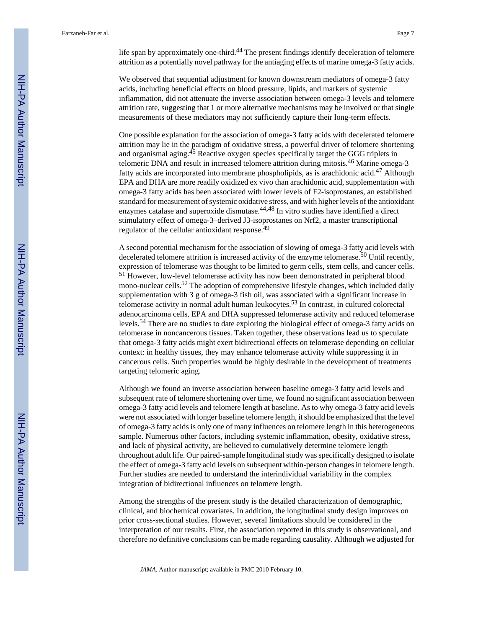life span by approximately one-third. $44$  The present findings identify deceleration of telomere attrition as a potentially novel pathway for the antiaging effects of marine omega-3 fatty acids.

We observed that sequential adjustment for known downstream mediators of omega-3 fatty acids, including beneficial effects on blood pressure, lipids, and markers of systemic inflammation, did not attenuate the inverse association between omega-3 levels and telomere attrition rate, suggesting that 1 or more alternative mechanisms may be involved or that single measurements of these mediators may not sufficiently capture their long-term effects.

One possible explanation for the association of omega-3 fatty acids with decelerated telomere attrition may lie in the paradigm of oxidative stress, a powerful driver of telomere shortening and organismal aging.<sup>45</sup> Reactive oxygen species specifically target the GGG triplets in telomeric DNA and result in increased telomere attrition during mitosis.46 Marine omega-3 fatty acids are incorporated into membrane phospholipids, as is arachidonic acid.47 Although EPA and DHA are more readily oxidized ex vivo than arachidonic acid, supplementation with omega-3 fatty acids has been associated with lower levels of F2-isoprostanes, an established standard for measurement of systemic oxidative stress, and with higher levels of the antioxidant enzymes catalase and superoxide dismutase.<sup>44,48</sup> In vitro studies have identified a direct stimulatory effect of omega-3–derived J3-isoprostanes on Nrf2, a master transcriptional regulator of the cellular antioxidant response.<sup>49</sup>

A second potential mechanism for the association of slowing of omega-3 fatty acid levels with decelerated telomere attrition is increased activity of the enzyme telomerase.<sup>50</sup> Until recently, expression of telomerase was thought to be limited to germ cells, stem cells, and cancer cells. <sup>51</sup> However, low-level telomerase activity has now been demonstrated in peripheral blood mono-nuclear cells.<sup>52</sup> The adoption of comprehensive lifestyle changes, which included daily supplementation with 3 g of omega-3 fish oil, was associated with a significant increase in telomerase activity in normal adult human leukocytes.53 In contrast, in cultured colorectal adenocarcinoma cells, EPA and DHA suppressed telomerase activity and reduced telomerase levels.54 There are no studies to date exploring the biological effect of omega-3 fatty acids on telomerase in noncancerous tissues. Taken together, these observations lead us to speculate that omega-3 fatty acids might exert bidirectional effects on telomerase depending on cellular context: in healthy tissues, they may enhance telomerase activity while suppressing it in cancerous cells. Such properties would be highly desirable in the development of treatments targeting telomeric aging.

Although we found an inverse association between baseline omega-3 fatty acid levels and subsequent rate of telomere shortening over time, we found no significant association between omega-3 fatty acid levels and telomere length at baseline. As to why omega-3 fatty acid levels were not associated with longer baseline telomere length, it should be emphasized that the level of omega-3 fatty acids is only one of many influences on telomere length in this heterogeneous sample. Numerous other factors, including systemic inflammation, obesity, oxidative stress, and lack of physical activity, are believed to cumulatively determine telomere length throughout adult life. Our paired-sample longitudinal study was specifically designed to isolate the effect of omega-3 fatty acid levels on subsequent within-person changes in telomere length. Further studies are needed to understand the interindividual variability in the complex integration of bidirectional influences on telomere length.

Among the strengths of the present study is the detailed characterization of demographic, clinical, and biochemical covariates. In addition, the longitudinal study design improves on prior cross-sectional studies. However, several limitations should be considered in the interpretation of our results. First, the association reported in this study is observational, and therefore no definitive conclusions can be made regarding causality. Although we adjusted for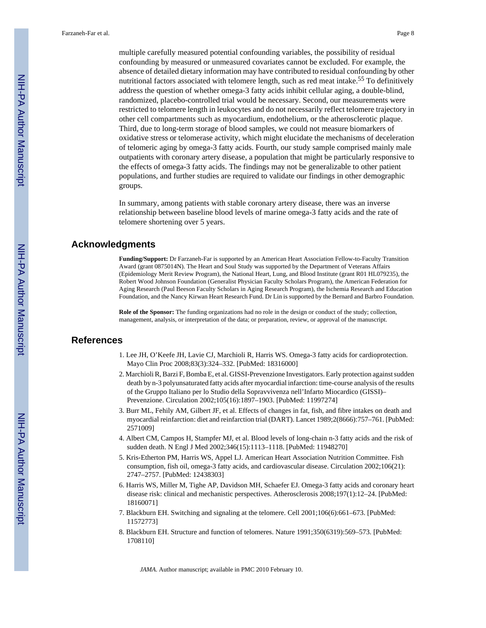multiple carefully measured potential confounding variables, the possibility of residual confounding by measured or unmeasured covariates cannot be excluded. For example, the absence of detailed dietary information may have contributed to residual confounding by other nutritional factors associated with telomere length, such as red meat intake.<sup>55</sup> To definitively address the question of whether omega-3 fatty acids inhibit cellular aging, a double-blind, randomized, placebo-controlled trial would be necessary. Second, our measurements were restricted to telomere length in leukocytes and do not necessarily reflect telomere trajectory in other cell compartments such as myocardium, endothelium, or the atherosclerotic plaque. Third, due to long-term storage of blood samples, we could not measure biomarkers of oxidative stress or telomerase activity, which might elucidate the mechanisms of deceleration of telomeric aging by omega-3 fatty acids. Fourth, our study sample comprised mainly male outpatients with coronary artery disease, a population that might be particularly responsive to the effects of omega-3 fatty acids. The findings may not be generalizable to other patient populations, and further studies are required to validate our findings in other demographic groups.

In summary, among patients with stable coronary artery disease, there was an inverse relationship between baseline blood levels of marine omega-3 fatty acids and the rate of telomere shortening over 5 years.

# **Acknowledgments**

**Funding/Support:** Dr Farzaneh-Far is supported by an American Heart Association Fellow-to-Faculty Transition Award (grant 0875014N). The Heart and Soul Study was supported by the Department of Veterans Affairs (Epidemiology Merit Review Program), the National Heart, Lung, and Blood Institute (grant R01 HL079235), the Robert Wood Johnson Foundation (Generalist Physician Faculty Scholars Program), the American Federation for Aging Research (Paul Beeson Faculty Scholars in Aging Research Program), the Ischemia Research and Education Foundation, and the Nancy Kirwan Heart Research Fund. Dr Lin is supported by the Bernard and Barbro Foundation.

**Role of the Sponsor:** The funding organizations had no role in the design or conduct of the study; collection, management, analysis, or interpretation of the data; or preparation, review, or approval of the manuscript.

# **References**

- 1. Lee JH, O'Keefe JH, Lavie CJ, Marchioli R, Harris WS. Omega-3 fatty acids for cardioprotection. Mayo Clin Proc 2008;83(3):324–332. [PubMed: 18316000]
- 2. Marchioli R, Barzi F, Bomba E, et al. GISSI-Prevenzione Investigators. Early protection against sudden death by n-3 polyunsaturated fatty acids after myocardial infarction: time-course analysis of the results of the Gruppo Italiano per lo Studio della Sopravvivenza nell'Infarto Miocardico (GISSI)– Prevenzione. Circulation 2002;105(16):1897–1903. [PubMed: 11997274]
- 3. Burr ML, Fehily AM, Gilbert JF, et al. Effects of changes in fat, fish, and fibre intakes on death and myocardial reinfarction: diet and reinfarction trial (DART). Lancet 1989;2(8666):757–761. [PubMed: 2571009]
- 4. Albert CM, Campos H, Stampfer MJ, et al. Blood levels of long-chain n-3 fatty acids and the risk of sudden death. N Engl J Med 2002;346(15):1113–1118. [PubMed: 11948270]
- 5. Kris-Etherton PM, Harris WS, Appel LJ. American Heart Association Nutrition Committee. Fish consumption, fish oil, omega-3 fatty acids, and cardiovascular disease. Circulation 2002;106(21): 2747–2757. [PubMed: 12438303]
- 6. Harris WS, Miller M, Tighe AP, Davidson MH, Schaefer EJ. Omega-3 fatty acids and coronary heart disease risk: clinical and mechanistic perspectives. Atherosclerosis 2008;197(1):12–24. [PubMed: 18160071]
- 7. Blackburn EH. Switching and signaling at the telomere. Cell 2001;106(6):661–673. [PubMed: 11572773]
- 8. Blackburn EH. Structure and function of telomeres. Nature 1991;350(6319):569–573. [PubMed: 1708110]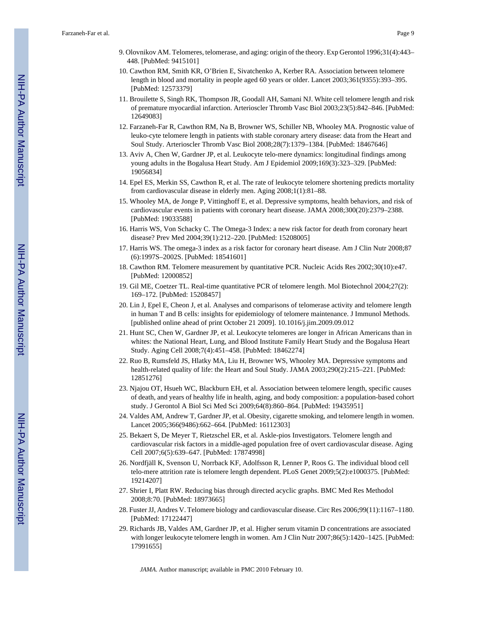- 9. Olovnikov AM. Telomeres, telomerase, and aging: origin of the theory. Exp Gerontol 1996;31(4):443– 448. [PubMed: 9415101]
- 10. Cawthon RM, Smith KR, O'Brien E, Sivatchenko A, Kerber RA. Association between telomere length in blood and mortality in people aged 60 years or older. Lancet 2003;361(9355):393–395. [PubMed: 12573379]
- 11. Brouilette S, Singh RK, Thompson JR, Goodall AH, Samani NJ. White cell telomere length and risk of premature myocardial infarction. Arterioscler Thromb Vasc Biol 2003;23(5):842–846. [PubMed: 12649083]
- 12. Farzaneh-Far R, Cawthon RM, Na B, Browner WS, Schiller NB, Whooley MA. Prognostic value of leuko-cyte telomere length in patients with stable coronary artery disease: data from the Heart and Soul Study. Arterioscler Thromb Vasc Biol 2008;28(7):1379–1384. [PubMed: 18467646]
- 13. Aviv A, Chen W, Gardner JP, et al. Leukocyte telo-mere dynamics: longitudinal findings among young adults in the Bogalusa Heart Study. Am J Epidemiol 2009;169(3):323–329. [PubMed: 19056834]
- 14. Epel ES, Merkin SS, Cawthon R, et al. The rate of leukocyte telomere shortening predicts mortality from cardiovascular disease in elderly men. Aging 2008;1(1):81–88.
- 15. Whooley MA, de Jonge P, Vittinghoff E, et al. Depressive symptoms, health behaviors, and risk of cardiovascular events in patients with coronary heart disease. JAMA 2008;300(20):2379–2388. [PubMed: 19033588]
- 16. Harris WS, Von Schacky C. The Omega-3 Index: a new risk factor for death from coronary heart disease? Prev Med 2004;39(1):212–220. [PubMed: 15208005]
- 17. Harris WS. The omega-3 index as a risk factor for coronary heart disease. Am J Clin Nutr 2008;87 (6):1997S–2002S. [PubMed: 18541601]
- 18. Cawthon RM. Telomere measurement by quantitative PCR. Nucleic Acids Res 2002;30(10):e47. [PubMed: 12000852]
- 19. Gil ME, Coetzer TL. Real-time quantitative PCR of telomere length. Mol Biotechnol 2004;27(2): 169–172. [PubMed: 15208457]
- 20. Lin J, Epel E, Cheon J, et al. Analyses and comparisons of telomerase activity and telomere length in human T and B cells: insights for epidemiology of telomere maintenance. J Immunol Methods. [published online ahead of print October 21 2009]. 10.1016/j.jim.2009.09.012
- 21. Hunt SC, Chen W, Gardner JP, et al. Leukocyte telomeres are longer in African Americans than in whites: the National Heart, Lung, and Blood Institute Family Heart Study and the Bogalusa Heart Study. Aging Cell 2008;7(4):451–458. [PubMed: 18462274]
- 22. Ruo B, Rumsfeld JS, Hlatky MA, Liu H, Browner WS, Whooley MA. Depressive symptoms and health-related quality of life: the Heart and Soul Study. JAMA 2003;290(2):215–221. [PubMed: 12851276]
- 23. Njajou OT, Hsueh WC, Blackburn EH, et al. Association between telomere length, specific causes of death, and years of healthy life in health, aging, and body composition: a population-based cohort study. J Gerontol A Biol Sci Med Sci 2009;64(8):860–864. [PubMed: 19435951]
- 24. Valdes AM, Andrew T, Gardner JP, et al. Obesity, cigarette smoking, and telomere length in women. Lancet 2005;366(9486):662–664. [PubMed: 16112303]
- 25. Bekaert S, De Meyer T, Rietzschel ER, et al. Askle-pios Investigators. Telomere length and cardiovascular risk factors in a middle-aged population free of overt cardiovascular disease. Aging Cell 2007;6(5):639–647. [PubMed: 17874998]
- 26. Nordfjäll K, Svenson U, Norrback KF, Adolfsson R, Lenner P, Roos G. The individual blood cell telo-mere attrition rate is telomere length dependent. PLoS Genet 2009;5(2):e1000375. [PubMed: 19214207]
- 27. Shrier I, Platt RW. Reducing bias through directed acyclic graphs. BMC Med Res Methodol 2008;8:70. [PubMed: 18973665]
- 28. Fuster JJ, Andres V. Telomere biology and cardiovascular disease. Circ Res 2006;99(11):1167–1180. [PubMed: 17122447]
- 29. Richards JB, Valdes AM, Gardner JP, et al. Higher serum vitamin D concentrations are associated with longer leukocyte telomere length in women. Am J Clin Nutr 2007;86(5):1420–1425. [PubMed: 17991655]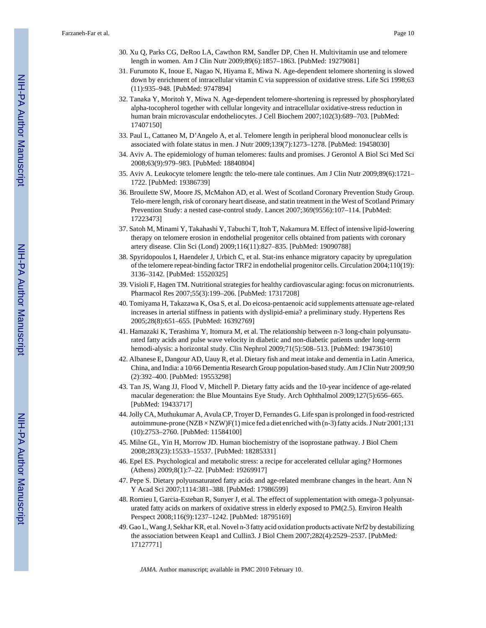- 30. Xu Q, Parks CG, DeRoo LA, Cawthon RM, Sandler DP, Chen H. Multivitamin use and telomere length in women. Am J Clin Nutr 2009;89(6):1857–1863. [PubMed: 19279081]
- 31. Furumoto K, Inoue E, Nagao N, Hiyama E, Miwa N. Age-dependent telomere shortening is slowed down by enrichment of intracellular vitamin C via suppression of oxidative stress. Life Sci 1998;63 (11):935–948. [PubMed: 9747894]
- 32. Tanaka Y, Moritoh Y, Miwa N. Age-dependent telomere-shortening is repressed by phosphorylated alpha-tocopherol together with cellular longevity and intracellular oxidative-stress reduction in human brain microvascular endotheliocytes. J Cell Biochem 2007;102(3):689–703. [PubMed: 17407150]
- 33. Paul L, Cattaneo M, D'Angelo A, et al. Telomere length in peripheral blood mononuclear cells is associated with folate status in men. J Nutr 2009;139(7):1273–1278. [PubMed: 19458030]
- 34. Aviv A. The epidemiology of human telomeres: faults and promises. J Gerontol A Biol Sci Med Sci 2008;63(9):979–983. [PubMed: 18840804]
- 35. Aviv A. Leukocyte telomere length: the telo-mere tale continues. Am J Clin Nutr 2009;89(6):1721– 1722. [PubMed: 19386739]
- 36. Brouilette SW, Moore JS, McMahon AD, et al. West of Scotland Coronary Prevention Study Group. Telo-mere length, risk of coronary heart disease, and statin treatment in the West of Scotland Primary Prevention Study: a nested case-control study. Lancet 2007;369(9556):107–114. [PubMed: 17223473]
- 37. Satoh M, Minami Y, Takahashi Y, Tabuchi T, Itoh T, Nakamura M. Effect of intensive lipid-lowering therapy on telomere erosion in endothelial progenitor cells obtained from patients with coronary artery disease. Clin Sci (Lond) 2009;116(11):827–835. [PubMed: 19090788]
- 38. Spyridopoulos I, Haendeler J, Urbich C, et al. Stat-ins enhance migratory capacity by upregulation of the telomere repeat-binding factor TRF2 in endothelial progenitor cells. Circulation 2004;110(19): 3136–3142. [PubMed: 15520325]
- 39. Visioli F, Hagen TM. Nutritional strategies for healthy cardiovascular aging: focus on micronutrients. Pharmacol Res 2007;55(3):199–206. [PubMed: 17317208]
- 40. Tomiyama H, Takazawa K, Osa S, et al. Do eicosa-pentaenoic acid supplements attenuate age-related increases in arterial stiffness in patients with dyslipid-emia? a preliminary study. Hypertens Res 2005;28(8):651–655. [PubMed: 16392769]
- 41. Hamazaki K, Terashima Y, Itomura M, et al. The relationship between n-3 long-chain polyunsaturated fatty acids and pulse wave velocity in diabetic and non-diabetic patients under long-term hemodi-alysis: a horizontal study. Clin Nephrol 2009;71(5):508–513. [PubMed: 19473610]
- 42. Albanese E, Dangour AD, Uauy R, et al. Dietary fish and meat intake and dementia in Latin America, China, and India: a 10/66 Dementia Research Group population-based study. Am J Clin Nutr 2009;90 (2):392–400. [PubMed: 19553298]
- 43. Tan JS, Wang JJ, Flood V, Mitchell P. Dietary fatty acids and the 10-year incidence of age-related macular degeneration: the Blue Mountains Eye Study. Arch Ophthalmol 2009;127(5):656–665. [PubMed: 19433717]
- 44. Jolly CA, Muthukumar A, Avula CP, Troyer D, Fernandes G. Life span is prolonged in food-restricted autoimmune-prone (NZB × NZW)F(1) mice fed a diet enriched with (n-3) fatty acids. J Nutr 2001;131 (10):2753–2760. [PubMed: 11584100]
- 45. Milne GL, Yin H, Morrow JD. Human biochemistry of the isoprostane pathway. J Biol Chem 2008;283(23):15533–15537. [PubMed: 18285331]
- 46. Epel ES. Psychological and metabolic stress: a recipe for accelerated cellular aging? Hormones (Athens) 2009;8(1):7–22. [PubMed: 19269917]
- 47. Pepe S. Dietary polyunsaturated fatty acids and age-related membrane changes in the heart. Ann N Y Acad Sci 2007;1114:381–388. [PubMed: 17986599]
- 48. Romieu I, Garcia-Esteban R, Sunyer J, et al. The effect of supplementation with omega-3 polyunsaturated fatty acids on markers of oxidative stress in elderly exposed to PM(2.5). Environ Health Perspect 2008;116(9):1237–1242. [PubMed: 18795169]
- 49. Gao L, Wang J, Sekhar KR, et al. Novel n-3 fatty acid oxidation products activate Nrf2 by destabilizing the association between Keap1 and Cullin3. J Biol Chem 2007;282(4):2529–2537. [PubMed: 17127771]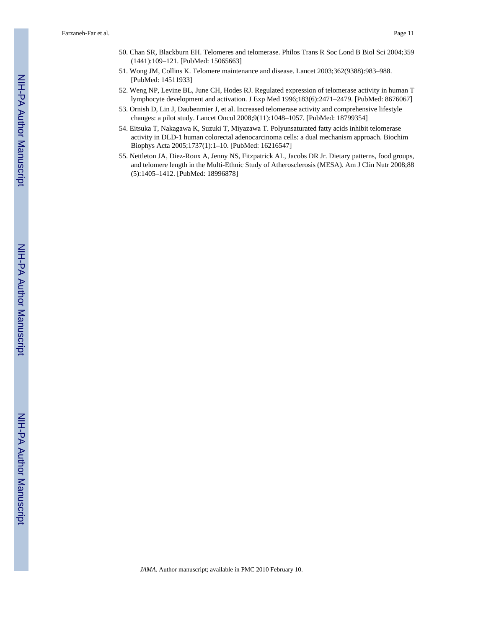- 50. Chan SR, Blackburn EH. Telomeres and telomerase. Philos Trans R Soc Lond B Biol Sci 2004;359 (1441):109–121. [PubMed: 15065663]
- 51. Wong JM, Collins K. Telomere maintenance and disease. Lancet 2003;362(9388):983–988. [PubMed: 14511933]
- 52. Weng NP, Levine BL, June CH, Hodes RJ. Regulated expression of telomerase activity in human T lymphocyte development and activation. J Exp Med 1996;183(6):2471–2479. [PubMed: 8676067]
- 53. Ornish D, Lin J, Daubenmier J, et al. Increased telomerase activity and comprehensive lifestyle changes: a pilot study. Lancet Oncol 2008;9(11):1048–1057. [PubMed: 18799354]
- 54. Eitsuka T, Nakagawa K, Suzuki T, Miyazawa T. Polyunsaturated fatty acids inhibit telomerase activity in DLD-1 human colorectal adenocarcinoma cells: a dual mechanism approach. Biochim Biophys Acta 2005;1737(1):1–10. [PubMed: 16216547]
- 55. Nettleton JA, Diez-Roux A, Jenny NS, Fitzpatrick AL, Jacobs DR Jr. Dietary patterns, food groups, and telomere length in the Multi-Ethnic Study of Atherosclerosis (MESA). Am J Clin Nutr 2008;88 (5):1405–1412. [PubMed: 18996878]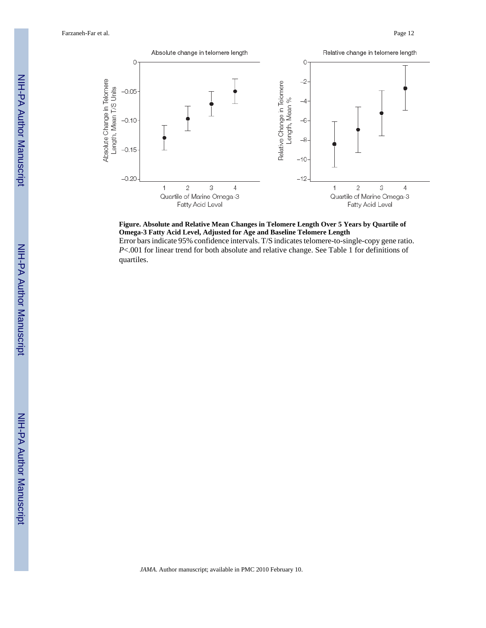Farzaneh-Far et al. Page 12





Error bars indicate 95% confidence intervals. T/S indicates telomere-to-single-copy gene ratio. *P*<.001 for linear trend for both absolute and relative change. See Table 1 for definitions of quartiles.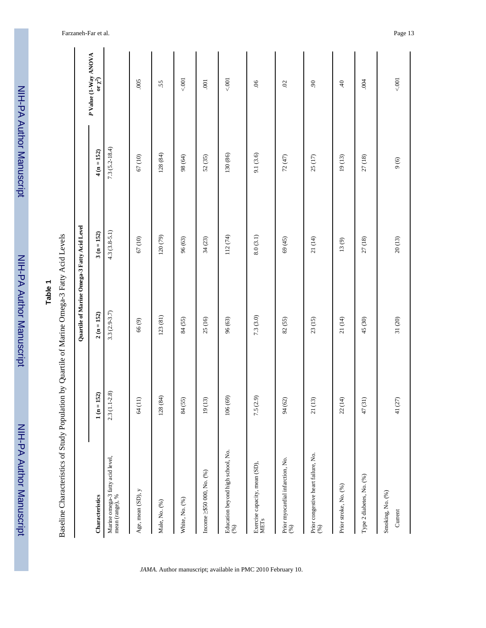NIH-PA Author ManuscriptNIH-PA Author Manuscript

NIH-PA Author Manuscript NIH-PA Author Manuscript

| ۹ |  |
|---|--|
| Φ |  |
|   |  |
|   |  |
|   |  |

Baseline Characteristics of Study Population by Quartile of Marine Omega-3 Fatty Acid Levels Baseline Characteristics of Study Population by Quartile of Marine Omega-3 Fatty Acid Levels

|                                                     |                  | Quartile of Marine Omega-3 Fatty Acid Level |                |                   |                                         |
|-----------------------------------------------------|------------------|---------------------------------------------|----------------|-------------------|-----------------------------------------|
| Characteristics                                     | (52)<br>$1(n=1)$ | $2(n = 152)$                                | $3(n = 152)$   | $4(n = 152)$      | $P$ Value (1-Way ANOVA<br>or $\chi^2$ ) |
| Marine omega-3 fatty acid level,<br>mean (range), % | $2.3(1.1-2.8)$   | $3.3(2.9 - 3.7)$                            | $4.3(3.8-5.1)$ | $7.3(5.2 - 18.4)$ |                                         |
| Age, mean (SD), y                                   | 64(11)           | 66(9)                                       | 67(10)         | 67(10)            | 005                                     |
| Male, No. (%)                                       | 128 (84)         | 123(81)                                     | 120(79)        | 128(84)           | 55                                      |
| White, No. (%)                                      | 84 (55)          | 84 (55)                                     | 96 (63)        | 98 (64)           | 5001                                    |
| Income $\geq 550\ 000,$ No. $(\%$                   | 19(13)           | 25(16)                                      | 34(23)         | 52(35)            | $\overline{00}$                         |
| Education beyond high school, No. $(\%)$            | 106 (69)         | 96 (63)                                     | 112 (74)       | 130 (86)          | 5.001                                   |
| Exercise capacity, mean $(SD)$ , METs               | 7.5(2.9)         | 7.3(3.0)                                    | 8.0(3.1)       | 9.1 (3.6)         | $90.$                                   |
| Prior myocardial infarction, No.<br>$(\%)$          | 94 (62)          | 82 (55)                                     | 69 (45)        | 72 (47)           | 02                                      |
| Prior congestive heart failure, No. $(\%)$          | 21(13)           | 23(15)                                      | 21 (14)        | 25(17)            | $\overline{6}$                          |
| Prior stroke, No. (%)                               | 22(14)           | 21 (14)                                     | $13(9)$        | 19(13)            | $\ddot{ }$                              |
| Type 2 diabetes, No. (%)                            | 47(31)           | 45 (30)                                     | 27(18)         | 27(18)            | .004                                    |
| Smoking, No. (%)<br>Current                         | $41(27)$         | $31\,(20)$                                  | 20(13)         | 9(6)              | < .001                                  |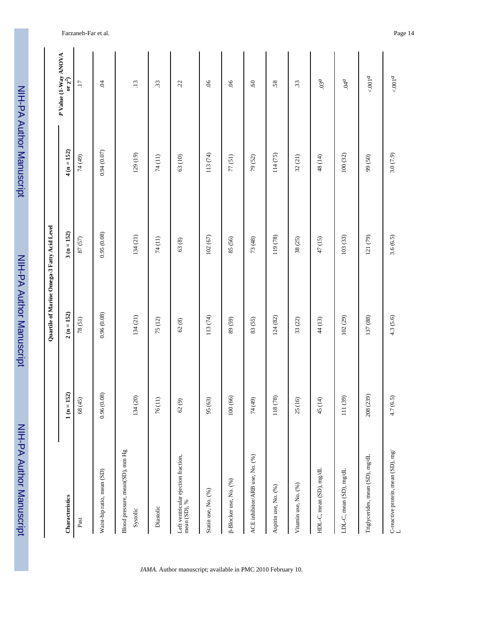| i             |
|---------------|
|               |
|               |
|               |
|               |
|               |
|               |
|               |
|               |
|               |
|               |
| <b>SALIDA</b> |
|               |
|               |
|               |
|               |
|               |
|               |
|               |
|               |
|               |
|               |
| ^ומו ומה      |
|               |
|               |
|               |
|               |
|               |

|                                                     |                                  | Quartile of Marine Omega-3 Fatty Acid Level |              |              |                                         |
|-----------------------------------------------------|----------------------------------|---------------------------------------------|--------------|--------------|-----------------------------------------|
| Characteristics                                     | $1 (n = 152)$                    | $2(n = 152)$                                | $3(n = 152)$ | $4(n = 152)$ | $P$ Value (1-Way ANOVA<br>or $\chi^2$ ) |
| Past                                                | 68 (45)                          | 78(51)                                      | 87(57)       | 74 (49)      | $\overline{17}$                         |
| Waist-hip ratio, mean (SD)                          | 0.96(0.08)                       | 0.96(0.08)                                  | 0.95(0.08)   | 0.94(0.07)   | Ŕ                                       |
| Blood pressure, mean(SD), mm Hg<br>Systolic         | 134 (20)                         | 134(21)                                     | 134(21)      | 129 (19)     | $\ddot{13}$                             |
| Diastolic                                           | $\widehat{\phantom{a}}$<br>76(1) | 75 (12)                                     | 74 (11)      | 74 (11)      | $\ddot{3}$                              |
| Left ventricular ejection fraction,<br>mean (SD), % | $62(9)$                          | 62(8)                                       | 63(8)        | 63 (10)      | 22                                      |
| Statin use, No. (%)                                 | 95 (63)                          | 113 (74)                                    | 102(67)      | 113 (74)     | 06                                      |
| [3-Blocker use, No. (%)                             | 100(66)                          | 89 (59)                                     | 85 (56)      | 77(51)       | $90.$                                   |
| ACE inhibitor/ARB use, No. (%)                      | 74 (49)                          | 83 (55)                                     | 73 (48)      | 79 (52)      | $\mathcal{O}$                           |
| Aspirin use, No. (%)                                | 118 (78)                         | 124(82)                                     | 119 (78)     | 114(75)      | 58.                                     |
| Vitamin use, No. (%)                                | 25 (16)                          | 33(22)                                      | 38(25)       | 32(21)       | $\ddot{3}$                              |
| HDL-C, mean (SD), mg/dL                             | 45 (14)                          | 44 (13)                                     | 47 (15)      | 48 (14)      | 03 <sup>d</sup>                         |
| LDL-C, mean (SD), mg/dL                             | 111 (39)                         | 102(29)                                     | 103 (33)     | 100(32)      | $^{6}$ by $\!$                          |
| Triglycerides, mean (SD), mg/dL                     | 208 (239)                        | 137 (88)                                    | 121 (79)     | 99 (50)      | $<0.001d$                               |
| C-reactive protein, mean (SD), $\mathrm{mg} /$ L    | 4.7(6.5)                         | 4.3(5.6)                                    | 3.6(6.5)     | 3.0(7.9)     | $<0.001$                                |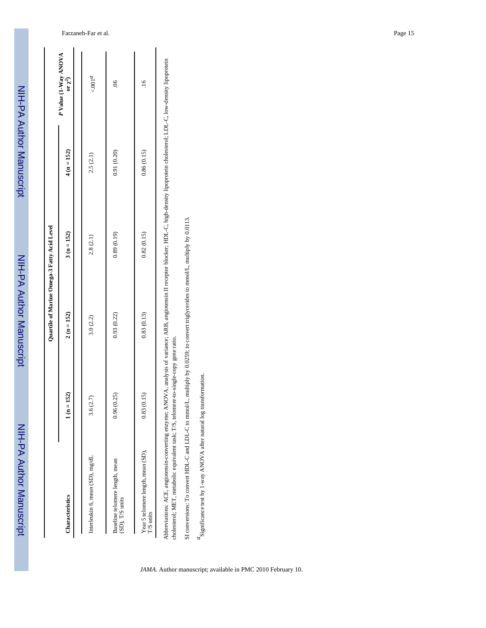|                                                                                                                                                                                                                                                                                            |                 |              | Quartile of Marine Omega-3 Fatty Acid Level |              |                                     |
|--------------------------------------------------------------------------------------------------------------------------------------------------------------------------------------------------------------------------------------------------------------------------------------------|-----------------|--------------|---------------------------------------------|--------------|-------------------------------------|
| Characteristics                                                                                                                                                                                                                                                                            | 152)<br>$1(n =$ | $2(n = 152)$ | $3(n = 152)$                                | $4(n = 152)$ | P Value (1-Way ANOVA<br>or $\chi^2$ |
| Interleukin 6, mean (SD), mg/dL                                                                                                                                                                                                                                                            | (2.7)<br>3.6(   | 3.0(2.2)     | 2.8(2.1)                                    | 2.5(2.1)     | < 001 <sup>d</sup>                  |
| Baseline telomere length, mean<br>(SD), T/S units                                                                                                                                                                                                                                          | 0.96(0.25)      | 0.93(0.22)   | 0.89(0.19)                                  | 0.91(0.20)   | $\frac{6}{5}$                       |
| Year 5 telomere length, mean (SD),<br>I/S units                                                                                                                                                                                                                                            | (0.15)<br>0.83( | 0.83(0.13)   | 0.82(0.15)                                  | 0.86(0.15)   | $\frac{6}{1}$                       |
| Abbreviations: ACE, angiotensin-converting enzyme; ANOVA, analysis of variance; ARB, angiotensin II receptor blocker; HDL-C, high-density lipoprotein cholesterol; LDL-C, low-density lipoprotein<br>cholesterol: MET, metabolic equivalent task: T/S, telomere-to-single-copy gene ratio. |                 |              |                                             |              |                                     |

cholesterol; MET, metabolic equivalent task; T/S, telomere-to-single-copy gene ratio. g ri

SI conversions: To convert HDL-C and LDL-C to mmolL, multiply by 0.0259; to convert triglycerides to mmolL, multiply by 0.0113. SI conversions: To convert HDL-C and LDL-C to mmol/L, multiply by 0.0259; to convert triglycerides to mmol/L, multiply by 0.0113.

 $^d\!S$  ignificance test by 1-way ANOVA after natural log transformation.  $a_{\text{Significance test by 1-way ANOVA}$  after natural log transformation.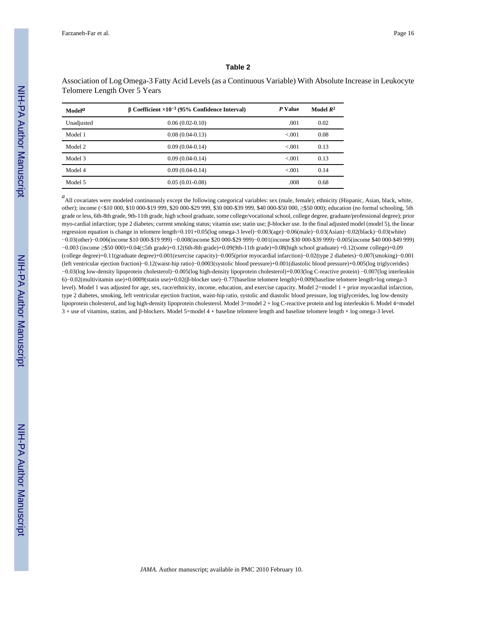#### **Table 2**

Association of Log Omega-3 Fatty Acid Levels (as a Continuous Variable) With Absolute Increase in Leukocyte Telomere Length Over 5 Years

| $\mathbf{Model}^{\mathbf{a}}$ | $\beta$ Coefficient $\times 10^{-3}$ (95% Confidence Interval) | P Value | Model $R^2$ |
|-------------------------------|----------------------------------------------------------------|---------|-------------|
| Unadjusted                    | $0.06(0.02-0.10)$                                              | .001    | 0.02        |
| Model 1                       | $0.08(0.04-0.13)$                                              | < 0.01  | 0.08        |
| Model 2                       | $0.09(0.04-0.14)$                                              | < 0.01  | 0.13        |
| Model 3                       | $0.09(0.04-0.14)$                                              | < 0.001 | 0.13        |
| Model 4                       | $0.09(0.04-0.14)$                                              | < 0.001 | 0.14        |
| Model 5                       | $0.05(0.01-0.08)$                                              | .008    | 0.68        |

a<br>
All covariates were modeled continuously except the following categorical variables: sex (male, female); ethnicity (Hispanic, Asian, black, white, other); income (<\$10 000, \$10 000-\$19 999, \$20 000-\$29 999, \$30 000-\$39 999, \$40 000-\$50 000, ≥\$50 000); education (no formal schooling, 5th grade or less, 6th-8th grade, 9th-11th grade, high school graduate, some college/vocational school, college degree, graduate/professional degree); prior myo-cardial infarction; type 2 diabetes; current smoking status; vitamin use; statin use; β-blocker use. In the final adjusted model (model 5), the linear regression equation is change in telomere length=0.101+0.05(log omega-3 level)−0.003(age)−0.06(male)−0.03(Asian)−0.02(black)−0.03(white) −0.03(other)−0.006(income \$10 000-\$19 999) −0.008(income \$20 000-\$29 999)−0.001(income \$30 000-\$39 999)−0.005(income \$40 000-\$49 999) −0.003 (income ≥\$50 000)+0.04(≤5th grade)+0.12(6th-8th grade)+0.09(9th-11th grade)+0.08(high school graduate) +0.12(some college)+0.09 (college degree)+0.11(graduate degree)+0.001(exercise capacity)−0.005(prior myocardial infarction)−0.02(type 2 diabetes)−0.007(smoking)−0.001 (left ventricular ejection fraction)−0.12(waist-hip ratio)−0.0003(systolic blood pressure)+0.001(diastolic blood pressure)+0.005(log triglycerides) −0.03(log low-density lipoprotein cholesterol)−0.005(log high-density lipoprotein cholesterol)+0.003(log C-reactive protein) −0.007(log interleukin 6)−0.02(multivitamin use)+0.0009(statin use)+0.02(β-blocker use)−0.77(baseline telomere length)+0.009(baseline telomere length×log omega-3 level). Model 1 was adjusted for age, sex, race/ethnicity, income, education, and exercise capacity. Model 2=model 1 + prior myocardial infarction, type 2 diabetes, smoking, left ventricular ejection fraction, waist-hip ratio, systolic and diastolic blood pressure, log triglycerides, log low-density lipoprotein cholesterol, and log high-density lipoprotein cholesterol. Model 3=model 2 + log C-reactive protein and log interleukin 6. Model 4=model 3 + use of vitamins, statins, and β-blockers. Model 5=model 4 + baseline telomere length and baseline telomere length × log omega-3 level.